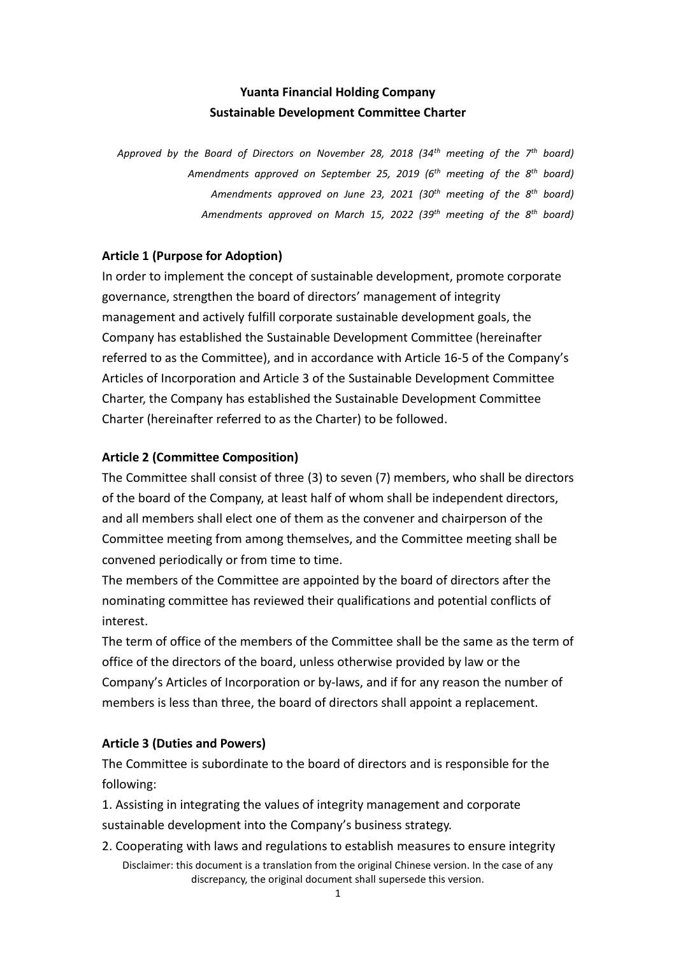# **Yuanta Financial Holding Company Sustainable Development Committee Charter**

*Approved by the Board of Directors on November 28, 2018 (34th meeting of the 7th board) Amendments approved on September 25, 2019 (6th meeting of the 8th board) Amendments approved on June 23, 2021 (30th meeting of the 8th board) Amendments approved on March 15, 2022 (39th meeting of the 8th board)*

#### **Article 1 (Purpose for Adoption)**

In order to implement the concept of sustainable development, promote corporate governance, strengthen the board of directors' management of integrity management and actively fulfill corporate sustainable development goals, the Company has established the Sustainable Development Committee (hereinafter referred to as the Committee), and in accordance with Article 16-5 of the Company's Articles of Incorporation and Article 3 of the Sustainable Development Committee Charter, the Company has established the Sustainable Development Committee Charter (hereinafter referred to as the Charter) to be followed.

# **Article 2 (Committee Composition)**

The Committee shall consist of three (3) to seven (7) members, who shall be directors of the board of the Company, at least half of whom shall be independent directors, and all members shall elect one of them as the convener and chairperson of the Committee meeting from among themselves, and the Committee meeting shall be convened periodically or from time to time.

The members of the Committee are appointed by the board of directors after the nominating committee has reviewed their qualifications and potential conflicts of interest.

The term of office of the members of the Committee shall be the same as the term of office of the directors of the board, unless otherwise provided by law or the Company's Articles of Incorporation or by-laws, and if for any reason the number of members is less than three, the board of directors shall appoint a replacement.

# **Article 3 (Duties and Powers)**

The Committee is subordinate to the board of directors and is responsible for the following:

1. Assisting in integrating the values of integrity management and corporate sustainable development into the Company's business strategy.

Disclaimer: this document is a translation from the original Chinese version. In the case of any discrepancy, the original document shall supersede this version. 2. Cooperating with laws and regulations to establish measures to ensure integrity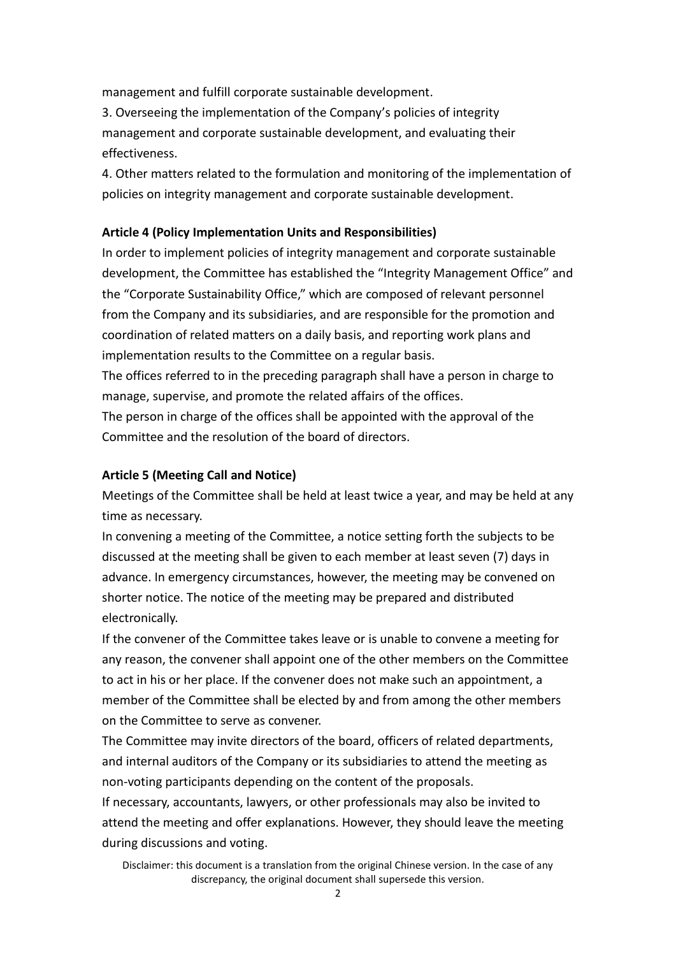management and fulfill corporate sustainable development.

3. Overseeing the implementation of the Company's policies of integrity management and corporate sustainable development, and evaluating their effectiveness.

4. Other matters related to the formulation and monitoring of the implementation of policies on integrity management and corporate sustainable development.

### **Article 4 (Policy Implementation Units and Responsibilities)**

In order to implement policies of integrity management and corporate sustainable development, the Committee has established the "Integrity Management Office" and the "Corporate Sustainability Office," which are composed of relevant personnel from the Company and its subsidiaries, and are responsible for the promotion and coordination of related matters on a daily basis, and reporting work plans and implementation results to the Committee on a regular basis.

The offices referred to in the preceding paragraph shall have a person in charge to manage, supervise, and promote the related affairs of the offices.

The person in charge of the offices shall be appointed with the approval of the Committee and the resolution of the board of directors.

### **Article 5 (Meeting Call and Notice)**

Meetings of the Committee shall be held at least twice a year, and may be held at any time as necessary.

In convening a meeting of the Committee, a notice setting forth the subjects to be discussed at the meeting shall be given to each member at least seven (7) days in advance. In emergency circumstances, however, the meeting may be convened on shorter notice. The notice of the meeting may be prepared and distributed electronically.

If the convener of the Committee takes leave or is unable to convene a meeting for any reason, the convener shall appoint one of the other members on the Committee to act in his or her place. If the convener does not make such an appointment, a member of the Committee shall be elected by and from among the other members on the Committee to serve as convener.

The Committee may invite directors of the board, officers of related departments, and internal auditors of the Company or its subsidiaries to attend the meeting as non-voting participants depending on the content of the proposals.

If necessary, accountants, lawyers, or other professionals may also be invited to attend the meeting and offer explanations. However, they should leave the meeting during discussions and voting.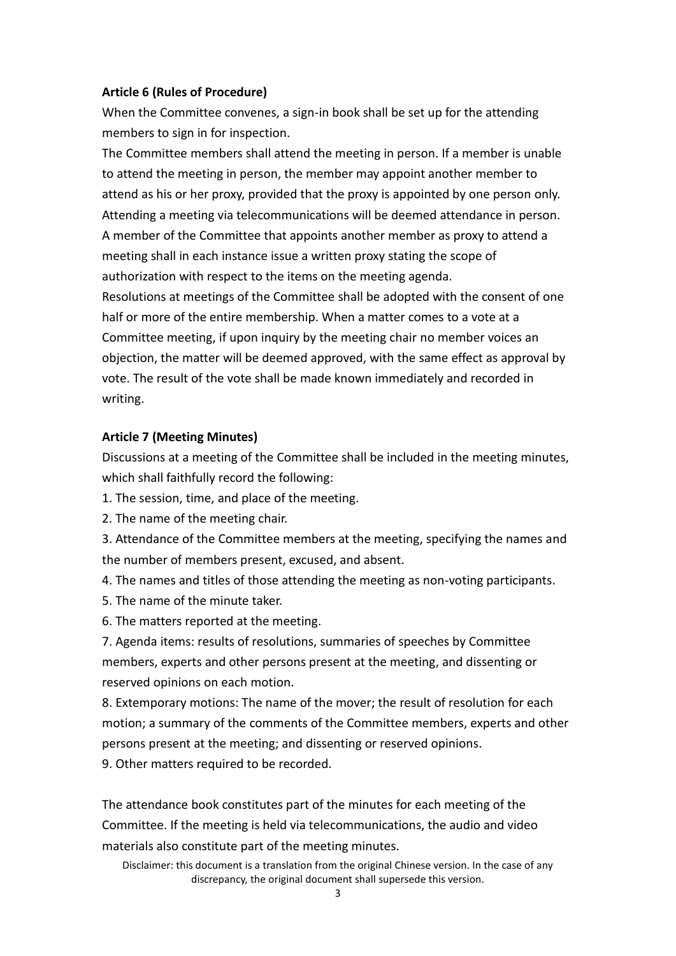# **Article 6 (Rules of Procedure)**

When the Committee convenes, a sign-in book shall be set up for the attending members to sign in for inspection.

The Committee members shall attend the meeting in person. If a member is unable to attend the meeting in person, the member may appoint another member to attend as his or her proxy, provided that the proxy is appointed by one person only. Attending a meeting via telecommunications will be deemed attendance in person. A member of the Committee that appoints another member as proxy to attend a meeting shall in each instance issue a written proxy stating the scope of authorization with respect to the items on the meeting agenda. Resolutions at meetings of the Committee shall be adopted with the consent of one half or more of the entire membership. When a matter comes to a vote at a Committee meeting, if upon inquiry by the meeting chair no member voices an objection, the matter will be deemed approved, with the same effect as approval by vote. The result of the vote shall be made known immediately and recorded in writing.

# **Article 7 (Meeting Minutes)**

Discussions at a meeting of the Committee shall be included in the meeting minutes, which shall faithfully record the following:

- 1. The session, time, and place of the meeting.
- 2. The name of the meeting chair.

3. Attendance of the Committee members at the meeting, specifying the names and the number of members present, excused, and absent.

- 4. The names and titles of those attending the meeting as non-voting participants.
- 5. The name of the minute taker.
- 6. The matters reported at the meeting.

7. Agenda items: results of resolutions, summaries of speeches by Committee members, experts and other persons present at the meeting, and dissenting or reserved opinions on each motion.

8. Extemporary motions: The name of the mover; the result of resolution for each motion; a summary of the comments of the Committee members, experts and other persons present at the meeting; and dissenting or reserved opinions.

9. Other matters required to be recorded.

The attendance book constitutes part of the minutes for each meeting of the Committee. If the meeting is held via telecommunications, the audio and video materials also constitute part of the meeting minutes.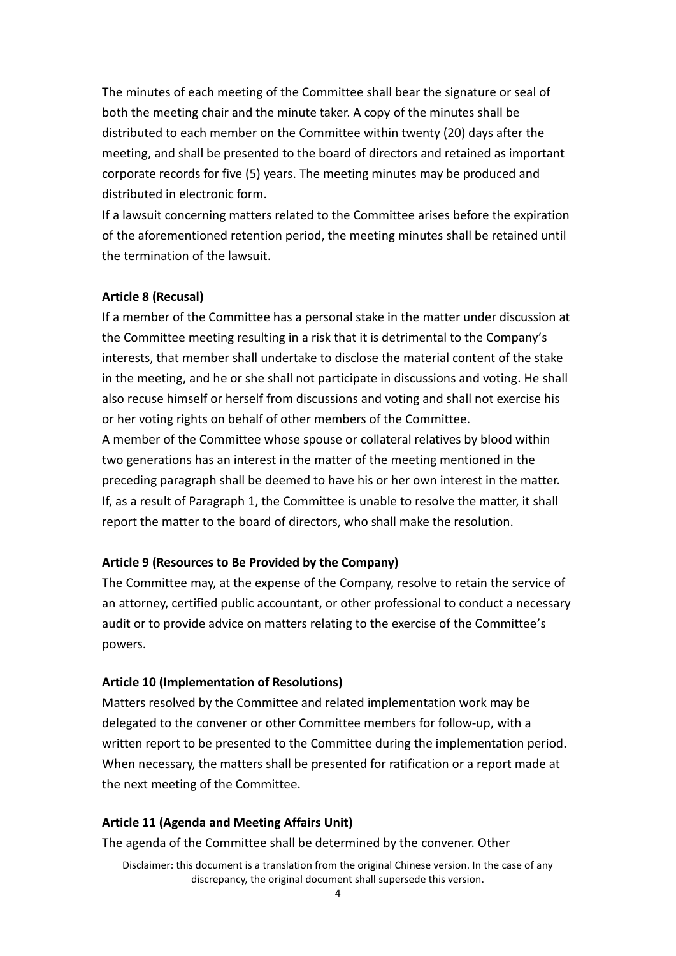The minutes of each meeting of the Committee shall bear the signature or seal of both the meeting chair and the minute taker. A copy of the minutes shall be distributed to each member on the Committee within twenty (20) days after the meeting, and shall be presented to the board of directors and retained as important corporate records for five (5) years. The meeting minutes may be produced and distributed in electronic form.

If a lawsuit concerning matters related to the Committee arises before the expiration of the aforementioned retention period, the meeting minutes shall be retained until the termination of the lawsuit.

#### **Article 8 (Recusal)**

If a member of the Committee has a personal stake in the matter under discussion at the Committee meeting resulting in a risk that it is detrimental to the Company's interests, that member shall undertake to disclose the material content of the stake in the meeting, and he or she shall not participate in discussions and voting. He shall also recuse himself or herself from discussions and voting and shall not exercise his or her voting rights on behalf of other members of the Committee.

A member of the Committee whose spouse or collateral relatives by blood within two generations has an interest in the matter of the meeting mentioned in the preceding paragraph shall be deemed to have his or her own interest in the matter. If, as a result of Paragraph 1, the Committee is unable to resolve the matter, it shall report the matter to the board of directors, who shall make the resolution.

#### **Article 9 (Resources to Be Provided by the Company)**

The Committee may, at the expense of the Company, resolve to retain the service of an attorney, certified public accountant, or other professional to conduct a necessary audit or to provide advice on matters relating to the exercise of the Committee's powers.

#### **Article 10 (Implementation of Resolutions)**

Matters resolved by the Committee and related implementation work may be delegated to the convener or other Committee members for follow-up, with a written report to be presented to the Committee during the implementation period. When necessary, the matters shall be presented for ratification or a report made at the next meeting of the Committee.

#### **Article 11 (Agenda and Meeting Affairs Unit)**

The agenda of the Committee shall be determined by the convener. Other